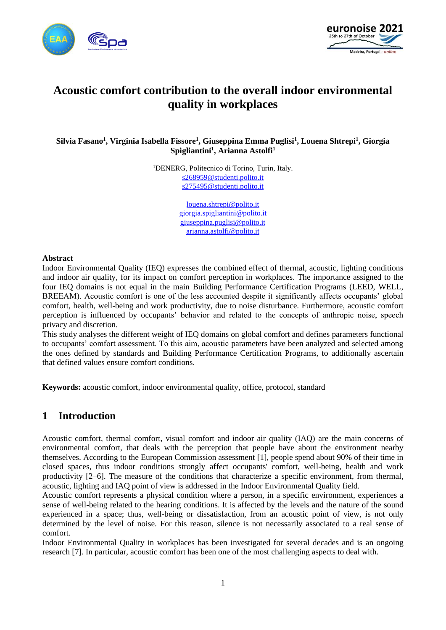



# **Acoustic comfort contribution to the overall indoor environmental quality in workplaces**

**Silvia Fasano<sup>1</sup> , Virginia Isabella Fissore<sup>1</sup> , Giuseppina Emma Puglisi<sup>1</sup> , Louena Shtrepi<sup>1</sup> , Giorgia Spigliantini<sup>1</sup> , Arianna Astolfi<sup>1</sup>**

> <sup>1</sup>DENERG, Politecnico di Torino, Turin, Italy. [s268959@studenti.polito.it](mailto:s268959@studenti.polito.it) [s275495@studenti.polito.it](mailto:s275495@studenti.polito.it)

> > [louena.shtrepi@polito.it](mailto:louena.shtrepi@polito.it) [giorgia.spigliantini@polito.it](mailto:giorgia.spigliantini@polito.it) [giuseppina.puglisi@polito.it](mailto:giuseppina.puglisi@polito.it) [arianna.astolfi@polito.it](mailto:arianna.astolfi@polito.it)

#### **Abstract**

Indoor Environmental Quality (IEQ) expresses the combined effect of thermal, acoustic, lighting conditions and indoor air quality, for its impact on comfort perception in workplaces. The importance assigned to the four IEQ domains is not equal in the main Building Performance Certification Programs (LEED, WELL, BREEAM). Acoustic comfort is one of the less accounted despite it significantly affects occupants' global comfort, health, well-being and work productivity, due to noise disturbance. Furthermore, acoustic comfort perception is influenced by occupants' behavior and related to the concepts of anthropic noise, speech privacy and discretion.

This study analyses the different weight of IEQ domains on global comfort and defines parameters functional to occupants' comfort assessment. To this aim, acoustic parameters have been analyzed and selected among the ones defined by standards and Building Performance Certification Programs, to additionally ascertain that defined values ensure comfort conditions.

**Keywords:** acoustic comfort, indoor environmental quality, office, protocol, standard

#### **1 Introduction**

Acoustic comfort, thermal comfort, visual comfort and indoor air quality (IAQ) are the main concerns of environmental comfort, that deals with the perception that people have about the environment nearby themselves. According to the European Commission assessment [1], people spend about 90% of their time in closed spaces, thus indoor conditions strongly affect occupants' comfort, well-being, health and work productivity [2–6]. The measure of the conditions that characterize a specific environment, from thermal, acoustic, lighting and IAQ point of view is addressed in the Indoor Environmental Quality field.

Acoustic comfort represents a physical condition where a person, in a specific environment, experiences a sense of well-being related to the hearing conditions. It is affected by the levels and the nature of the sound experienced in a space; thus, well-being or dissatisfaction, from an acoustic point of view, is not only determined by the level of noise. For this reason, silence is not necessarily associated to a real sense of comfort.

Indoor Environmental Quality in workplaces has been investigated for several decades and is an ongoing research [7]. In particular, acoustic comfort has been one of the most challenging aspects to deal with.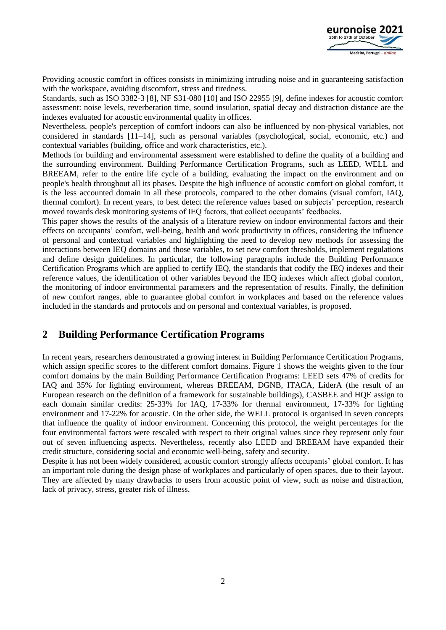

Providing acoustic comfort in offices consists in minimizing intruding noise and in guaranteeing satisfaction with the workspace, avoiding discomfort, stress and tiredness.

Standards, such as ISO 3382-3 [8], NF S31-080 [10] and ISO 22955 [9], define indexes for acoustic comfort assessment: noise levels, reverberation time, sound insulation, spatial decay and distraction distance are the indexes evaluated for acoustic environmental quality in offices.

Nevertheless, people's perception of comfort indoors can also be influenced by non-physical variables, not considered in standards [11–14], such as personal variables (psychological, social, economic, etc.) and contextual variables (building, office and work characteristics, etc.).

Methods for building and environmental assessment were established to define the quality of a building and the surrounding environment. Building Performance Certification Programs, such as LEED, WELL and BREEAM, refer to the entire life cycle of a building, evaluating the impact on the environment and on people's health throughout all its phases. Despite the high influence of acoustic comfort on global comfort, it is the less accounted domain in all these protocols, compared to the other domains (visual comfort, IAQ, thermal comfort). In recent years, to best detect the reference values based on subjects' perception, research moved towards desk monitoring systems of IEQ factors, that collect occupants' feedbacks.

This paper shows the results of the analysis of a literature review on indoor environmental factors and their effects on occupants' comfort, well-being, health and work productivity in offices, considering the influence of personal and contextual variables and highlighting the need to develop new methods for assessing the interactions between IEQ domains and those variables, to set new comfort thresholds, implement regulations and define design guidelines. In particular, the following paragraphs include the Building Performance Certification Programs which are applied to certify IEQ, the standards that codify the IEQ indexes and their reference values, the identification of other variables beyond the IEQ indexes which affect global comfort, the monitoring of indoor environmental parameters and the representation of results. Finally, the definition of new comfort ranges, able to guarantee global comfort in workplaces and based on the reference values included in the standards and protocols and on personal and contextual variables, is proposed.

## **2 Building Performance Certification Programs**

In recent years, researchers demonstrated a growing interest in Building Performance Certification Programs, which assign specific scores to the different comfort domains. [Figure 1](#page-2-0) shows the weights given to the four comfort domains by the main Building Performance Certification Programs: LEED sets 47% of credits for IAQ and 35% for lighting environment, whereas BREEAM, DGNB, ITACA, LiderA (the result of an European research on the definition of a framework for sustainable buildings), CASBEE and HQE assign to each domain similar credits: 25-33% for IAQ, 17-33% for thermal environment, 17-33% for lighting environment and 17-22% for acoustic. On the other side, the WELL protocol is organised in seven concepts that influence the quality of indoor environment. Concerning this protocol, the weight percentages for the four environmental factors were rescaled with respect to their original values since they represent only four out of seven influencing aspects. Nevertheless, recently also LEED and BREEAM have expanded their credit structure, considering social and economic well-being, safety and security.

Despite it has not been widely considered, acoustic comfort strongly affects occupants' global comfort. It has an important role during the design phase of workplaces and particularly of open spaces, due to their layout. They are affected by many drawbacks to users from acoustic point of view, such as noise and distraction, lack of privacy, stress, greater risk of illness.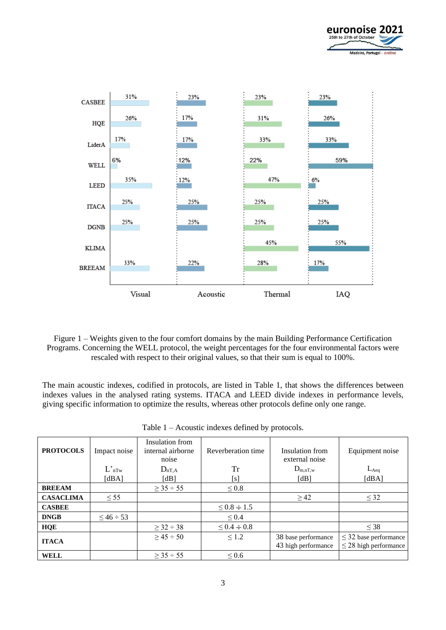



<span id="page-2-0"></span>Figure 1 – Weights given to the four comfort domains by the main Building Performance Certification Programs. Concerning the WELL protocol, the weight percentages for the four environmental factors were rescaled with respect to their original values, so that their sum is equal to 100%.

The main acoustic indexes, codified in protocols, are listed in [Table 1,](#page-2-1) that shows the differences between indexes values in the analysed rating systems. ITACA and LEED divide indexes in performance levels, giving specific information to optimize the results, whereas other protocols define only one range.

<span id="page-2-1"></span>

| <b>PROTOCOLS</b> | Impact noise      | Insulation from<br>internal airborne<br>noise | Reverberation time  | Insulation from<br>external noise          | Equipment noise                                          |
|------------------|-------------------|-----------------------------------------------|---------------------|--------------------------------------------|----------------------------------------------------------|
|                  | $L_{nTw}$         | $D_{nT,A}$                                    | Tr                  | $D_{m,nT,w}$                               | $L_{Aeq}$                                                |
|                  | [dBA]             | [dB]                                          | [s]                 | [dB]                                       | [dBA]                                                    |
| <b>BREEAM</b>    |                   | $> 35 \div 55$                                | $\leq 0.8$          |                                            |                                                          |
| <b>CASACLIMA</b> | < 55              |                                               |                     | >42                                        | $\leq$ 32                                                |
| <b>CASBEE</b>    |                   |                                               | $\leq 0.8 \div 1.5$ |                                            |                                                          |
| <b>DNGB</b>      | $\leq 46 \div 53$ |                                               | $\leq 0.4$          |                                            |                                                          |
| <b>HQE</b>       |                   | $\geq$ 32 ÷ 38                                | $\leq 0.4 \div 0.8$ |                                            | $\leq$ 38                                                |
| <b>ITACA</b>     |                   | $\geq$ 45 ÷ 50                                | $\leq 1.2$          | 38 base performance<br>43 high performance | $\leq$ 32 base performance<br>$\leq$ 28 high performance |
| <b>WELL</b>      |                   | $> 35 \div 55$                                | $\leq 0.6$          |                                            |                                                          |

| Table $1 -$ Acoustic indexes defined by protocols. |  |
|----------------------------------------------------|--|
|----------------------------------------------------|--|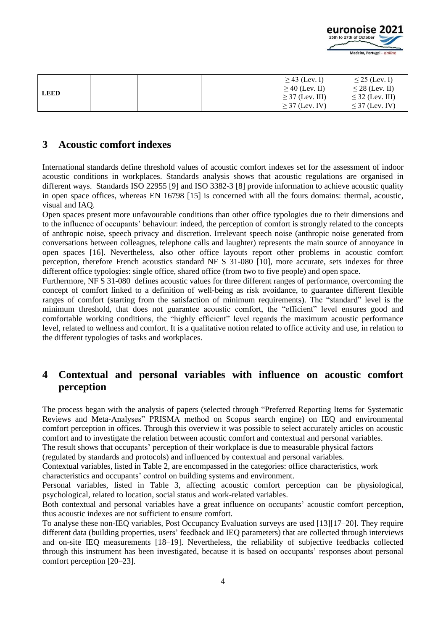

| <b>LEED</b> |  | $\geq$ 43 (Lev. I)   | $\leq$ 25 (Lev. I)   |
|-------------|--|----------------------|----------------------|
|             |  | $\geq$ 40 (Lev. II)  | $\leq$ 28 (Lev. II)  |
|             |  | $\geq$ 37 (Lev. III) | $\leq$ 32 (Lev. III) |
|             |  | $\geq$ 37 (Lev. IV)  | $\leq$ 37 (Lev. IV)  |

#### **3 Acoustic comfort indexes**

International standards define threshold values of acoustic comfort indexes set for the assessment of indoor acoustic conditions in workplaces. Standards analysis shows that acoustic regulations are organised in different ways. Standards ISO 22955 [9] and ISO 3382-3 [8] provide information to achieve acoustic quality in open space offices, whereas EN 16798 [15] is concerned with all the fours domains: thermal, acoustic, visual and IAQ.

Open spaces present more unfavourable conditions than other office typologies due to their dimensions and to the influence of occupants' behaviour: indeed, the perception of comfort is strongly related to the concepts of anthropic noise, speech privacy and discretion. Irrelevant speech noise (anthropic noise generated from conversations between colleagues, telephone calls and laughter) represents the main source of annoyance in open spaces [16]. Nevertheless, also other office layouts report other problems in acoustic comfort perception, therefore French acoustics standard NF S 31-080 [10], more accurate, sets indexes for three different office typologies: single office, shared office (from two to five people) and open space.

Furthermore, NF S 31-080 defines acoustic values for three different ranges of performance, overcoming the concept of comfort linked to a definition of well-being as risk avoidance, to guarantee different flexible ranges of comfort (starting from the satisfaction of minimum requirements). The "standard" level is the minimum threshold, that does not guarantee acoustic comfort, the "efficient" level ensures good and comfortable working conditions, the "highly efficient" level regards the maximum acoustic performance level, related to wellness and comfort. It is a qualitative notion related to office activity and use, in relation to the different typologies of tasks and workplaces.

# **4 Contextual and personal variables with influence on acoustic comfort perception**

The process began with the analysis of papers (selected through "Preferred Reporting Items for Systematic Reviews and Meta-Analyses" PRISMA method on Scopus search engine) on IEQ and environmental comfort perception in offices. Through this overview it was possible to select accurately articles on acoustic comfort and to investigate the relation between acoustic comfort and contextual and personal variables.

The result shows that occupants' perception of their workplace is due to measurable physical factors

(regulated by standards and protocols) and influenced by contextual and personal variables.

Contextual variables, listed in [Table 2,](#page-4-0) are encompassed in the categories: office characteristics, work characteristics and occupants' control on building systems and environment.

Personal variables, listed in [Table 3,](#page-4-1) affecting acoustic comfort perception can be physiological, psychological, related to location, social status and work-related variables.

Both contextual and personal variables have a great influence on occupants' acoustic comfort perception, thus acoustic indexes are not sufficient to ensure comfort.

To analyse these non-IEQ variables, Post Occupancy Evaluation surveys are used [13][17–20]. They require different data (building properties, users' feedback and IEQ parameters) that are collected through interviews and on-site IEQ measurements [18–19]. Nevertheless, the reliability of subjective feedbacks collected through this instrument has been investigated, because it is based on occupants' responses about personal comfort perception [20–23].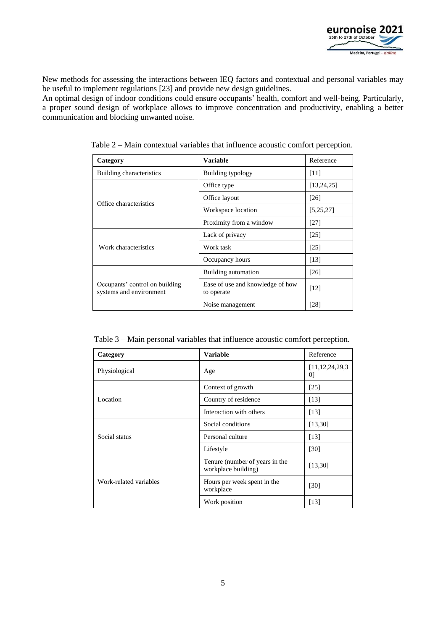

New methods for assessing the interactions between IEQ factors and contextual and personal variables may be useful to implement regulations [23] and provide new design guidelines.

<span id="page-4-0"></span>An optimal design of indoor conditions could ensure occupants' health, comfort and well-being. Particularly, a proper sound design of workplace allows to improve concentration and productivity, enabling a better communication and blocking unwanted noise.

| Category                                                  | <b>Variable</b>                                | Reference    |
|-----------------------------------------------------------|------------------------------------------------|--------------|
| Building characteristics                                  | <b>Building typology</b>                       | [11]         |
|                                                           | Office type                                    | [13, 24, 25] |
|                                                           | Office layout                                  | [26]         |
| Office characteristics                                    | Workspace location                             | [5, 25, 27]  |
|                                                           | Proximity from a window                        | [27]         |
|                                                           | Lack of privacy                                | [25]         |
| Work characteristics                                      | Work task                                      | [25]         |
|                                                           | Occupancy hours                                | [13]         |
|                                                           | Building automation                            | [26]         |
| Occupants' control on building<br>systems and environment | Ease of use and knowledge of how<br>to operate | [12]         |
|                                                           | Noise management                               | [28]         |

Table 2 – Main contextual variables that influence acoustic comfort perception.

<span id="page-4-1"></span>

| Table 3 – Main personal variables that influence acoustic comfort perception. |  |  |  |
|-------------------------------------------------------------------------------|--|--|--|
|-------------------------------------------------------------------------------|--|--|--|

| Category               | <b>Variable</b>                                       | Reference                             |
|------------------------|-------------------------------------------------------|---------------------------------------|
| Physiological          | Age                                                   | [11, 12, 24, 29, 3]<br>0 <sup>1</sup> |
|                        | Context of growth                                     | [25]                                  |
| Location               | Country of residence                                  | [13]                                  |
|                        | Interaction with others                               | [13]                                  |
|                        | Social conditions                                     | [13,30]                               |
| Social status          | Personal culture                                      | [13]                                  |
|                        | Lifestyle                                             | [30]                                  |
|                        | Tenure (number of years in the<br>workplace building) | [13,30]                               |
| Work-related variables | Hours per week spent in the<br>workplace              | [30]                                  |
|                        | Work position                                         | [13]                                  |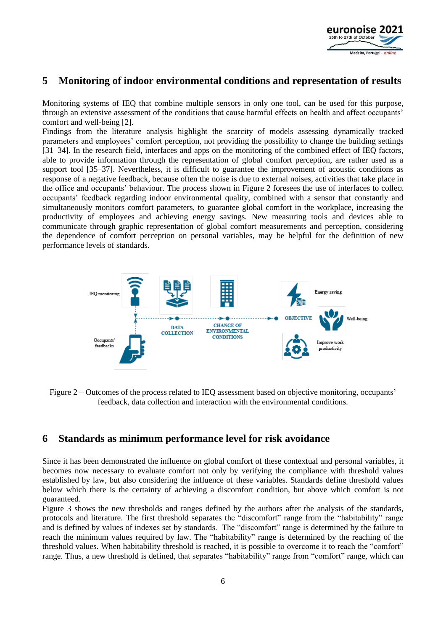

## **5 Monitoring of indoor environmental conditions and representation of results**

Monitoring systems of IEQ that combine multiple sensors in only one tool, can be used for this purpose, through an extensive assessment of the conditions that cause harmful effects on health and affect occupants' comfort and well-being [2].

Findings from the literature analysis highlight the scarcity of models assessing dynamically tracked parameters and employees' comfort perception, not providing the possibility to change the building settings [31–34]. In the research field, interfaces and apps on the monitoring of the combined effect of IEQ factors, able to provide information through the representation of global comfort perception, are rather used as a support tool [35–37]. Nevertheless, it is difficult to guarantee the improvement of acoustic conditions as response of a negative feedback, because often the noise is due to external noises, activities that take place in the office and occupants' behaviour. The process shown in [Figure 2](#page-5-0) foresees the use of interfaces to collect occupants' feedback regarding indoor environmental quality, combined with a sensor that constantly and simultaneously monitors comfort parameters, to guarantee global comfort in the workplace, increasing the productivity of employees and achieving energy savings. New measuring tools and devices able to communicate through graphic representation of global comfort measurements and perception, considering the dependence of comfort perception on personal variables, may be helpful for the definition of new performance levels of standards.



<span id="page-5-0"></span>

#### **6 Standards as minimum performance level for risk avoidance**

Since it has been demonstrated the influence on global comfort of these contextual and personal variables, it becomes now necessary to evaluate comfort not only by verifying the compliance with threshold values established by law, but also considering the influence of these variables. Standards define threshold values below which there is the certainty of achieving a discomfort condition, but above which comfort is not guaranteed.

[Figure 3](#page-6-0) shows the new thresholds and ranges defined by the authors after the analysis of the standards, protocols and literature. The first threshold separates the "discomfort" range from the "habitability" range and is defined by values of indexes set by standards. The "discomfort" range is determined by the failure to reach the minimum values required by law. The "habitability" range is determined by the reaching of the threshold values. When habitability threshold is reached, it is possible to overcome it to reach the "comfort" range. Thus, a new threshold is defined, that separates "habitability" range from "comfort" range, which can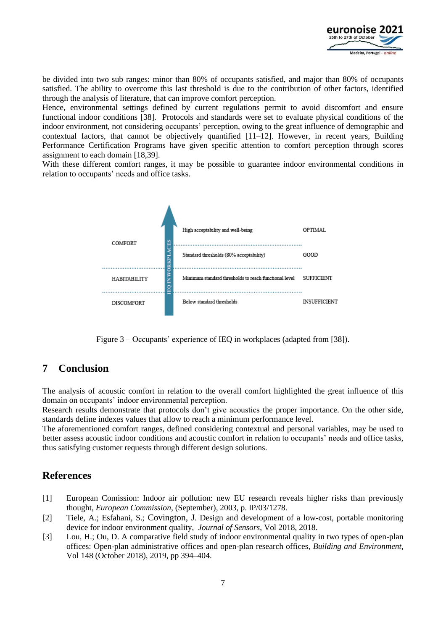

be divided into two sub ranges: minor than 80% of occupants satisfied, and major than 80% of occupants satisfied. The ability to overcome this last threshold is due to the contribution of other factors, identified through the analysis of literature, that can improve comfort perception.

Hence, environmental settings defined by current regulations permit to avoid discomfort and ensure functional indoor conditions [38]. Protocols and standards were set to evaluate physical conditions of the indoor environment, not considering occupants' perception, owing to the great influence of demographic and contextual factors, that cannot be objectively quantified  $[11-12]$ . However, in recent years, Building Performance Certification Programs have given specific attention to comfort perception through scores assignment to each domain [18,39].

With these different comfort ranges, it may be possible to guarantee indoor environmental conditions in relation to occupants' needs and office tasks.



Figure 3 – Occupants' experience of IEQ in workplaces (adapted from [38]).

# <span id="page-6-0"></span>**7 Conclusion**

The analysis of acoustic comfort in relation to the overall comfort highlighted the great influence of this domain on occupants' indoor environmental perception.

Research results demonstrate that protocols don't give acoustics the proper importance. On the other side, standards define indexes values that allow to reach a minimum performance level.

The aforementioned comfort ranges, defined considering contextual and personal variables, may be used to better assess acoustic indoor conditions and acoustic comfort in relation to occupants' needs and office tasks, thus satisfying customer requests through different design solutions.

## **References**

- [1] European Comission: Indoor air pollution: new EU research reveals higher risks than previously thought, *European Commission*, (September), 2003, p. IP/03/1278.
- [2] Tiele, A.; Esfahani, S.; Covington, J. Design and development of a low-cost, portable monitoring device for indoor environment quality, *Journal of Sensors*, Vol 2018, 2018.
- [3] Lou, H.; Ou, D. A comparative field study of indoor environmental quality in two types of open-plan offices: Open-plan administrative offices and open-plan research offices, *Building and Environment*, Vol 148 (October 2018), 2019, pp 394–404.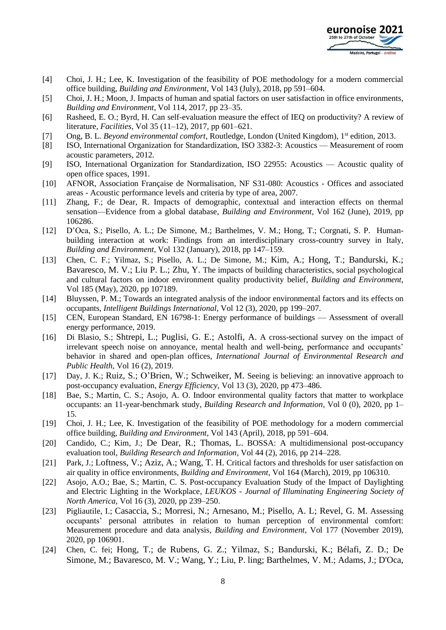

- [4] Choi, J. H.; Lee, K. Investigation of the feasibility of POE methodology for a modern commercial office building, *Building and Environment*, Vol 143 (July), 2018, pp 591–604.
- [5] Choi, J. H.; Moon, J. Impacts of human and spatial factors on user satisfaction in office environments, *Building and Environment*, Vol 114, 2017, pp 23–35.
- [6] Rasheed, E. O.; Byrd, H. Can self-evaluation measure the effect of IEQ on productivity? A review of literature, *Facilities*, Vol 35 (11–12), 2017, pp 601–621.
- [7] Ong, B. L. *Beyond environmental comfort*, Routledge, London (United Kingdom), 1st edition, 2013.
- [8] ISO, International Organization for Standardization, ISO 3382-3: Acoustics Measurement of room acoustic parameters, 2012.
- [9] ISO, International Organization for Standardization, ISO 22955: Acoustics Acoustic quality of open office spaces, 1991.
- [10] AFNOR, Association Française de Normalisation, NF S31-080: Acoustics Offices and associated areas - Acoustic performance levels and criteria by type of area, 2007.
- [11] Zhang, F.; de Dear, R. Impacts of demographic, contextual and interaction effects on thermal sensation—Evidence from a global database, *Building and Environment*, Vol 162 (June), 2019, pp 106286.
- [12] D'Oca, S.; Pisello, A. L.; De Simone, M.; Barthelmes, V. M.; Hong, T.; Corgnati, S. P. Humanbuilding interaction at work: Findings from an interdisciplinary cross-country survey in Italy, *Building and Environment*, Vol 132 (January), 2018, pp 147–159.
- [13] Chen, C. F.; Yilmaz, S.; Pisello, A. L.; De Simone, M.; Kim, A.; Hong, T.; Bandurski, K.; Bavaresco, M. V.; Liu P. L.; Zhu, Y. The impacts of building characteristics, social psychological and cultural factors on indoor environment quality productivity belief, *Building and Environment*, Vol 185 (May), 2020, pp 107189.
- [14] Bluyssen, P. M.; Towards an integrated analysis of the indoor environmental factors and its effects on occupants, *Intelligent Buildings International,* Vol 12 (3), 2020, pp 199–207.
- [15] CEN, European Standard, EN 16798-1: Energy performance of buildings Assessment of overall energy performance, 2019.
- [16] Di Blasio, S.; Shtrepi, L.; Puglisi, G. E.; Astolfi, A. A cross-sectional survey on the impact of irrelevant speech noise on annoyance, mental health and well-being, performance and occupants' behavior in shared and open-plan offices, *International Journal of Environmental Research and Public Health*, Vol 16 (2), 2019.
- [17] Day, J. K.; Ruiz, S.; O'Brien, W.; Schweiker, M. Seeing is believing: an innovative approach to post-occupancy evaluation, *Energy Efficiency*, Vol 13 (3), 2020, pp 473–486.
- [18] Bae, S.; Martin, C. S.; Asojo, A. O. Indoor environmental quality factors that matter to workplace occupants: an 11-year-benchmark study, *Building Research and Information,* Vol 0 (0), 2020, pp 1– 15.
- [19] Choi, J. H.; Lee, K. Investigation of the feasibility of POE methodology for a modern commercial office building, *Building and Environment*, Vol 143 (April), 2018, pp 591–604.
- [20] Candido, C.; Kim, J.; De Dear, R.; Thomas, L. BOSSA: A multidimensional post-occupancy evaluation tool, *Building Research and Information,* Vol 44 (2), 2016, pp 214–228.
- [21] Park, J.; Loftness, V.; Aziz, A.; Wang, T. H. Critical factors and thresholds for user satisfaction on air quality in office environments, *Building and Environment*, Vol 164 (March), 2019, pp 106310.
- [22] Asojo, A.O.; Bae, S.; Martin, C. S. Post-occupancy Evaluation Study of the Impact of Daylighting and Electric Lighting in the Workplace, *LEUKOS - Journal of Illuminating Engineering Society of North America,* Vol 16 (3), 2020, pp 239–250.
- [23] Pigliautile, I.; Casaccia, S.; Morresi, N.; Arnesano, M.; Pisello, A. L; Revel, G. M. Assessing occupants' personal attributes in relation to human perception of environmental comfort: Measurement procedure and data analysis, *Building and Environment*, Vol 177 (November 2019), 2020, pp 106901.
- [24] Chen, C. fei; Hong, T.; de Rubens, G. Z.; Yilmaz, S.; Bandurski, K.; Bélafi, Z. D.; De Simone, M.; Bavaresco, M. V.; Wang, Y.; Liu, P. ling; Barthelmes, V. M.; Adams, J.; D'Oca,